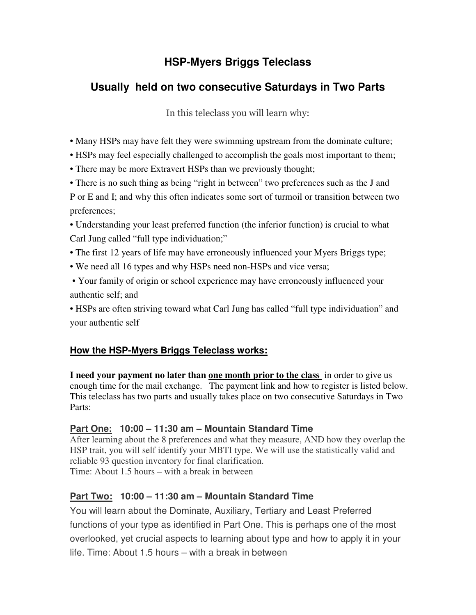# **HSP-Myers Briggs Teleclass**

# **Usually held on two consecutive Saturdays in Two Parts**

In this teleclass you will learn why:

- Many HSPs may have felt they were swimming upstream from the dominate culture;
- HSPs may feel especially challenged to accomplish the goals most important to them;
- There may be more Extravert HSPs than we previously thought;

• There is no such thing as being "right in between" two preferences such as the J and P or E and I; and why this often indicates some sort of turmoil or transition between two preferences;

• Understanding your least preferred function (the inferior function) is crucial to what Carl Jung called "full type individuation;"

- The first 12 years of life may have erroneously influenced your Myers Briggs type;
- We need all 16 types and why HSPs need non-HSPs and vice versa;
- Your family of origin or school experience may have erroneously influenced your authentic self; and

• HSPs are often striving toward what Carl Jung has called "full type individuation" and your authentic self

## **How the HSP-Myers Briggs Teleclass works:**

**I need your payment no later than one month prior to the class** in order to give us enough time for the mail exchange. The payment link and how to register is listed below. This teleclass has two parts and usually takes place on two consecutive Saturdays in Two Parts:

### **Part One: 10:00 – 11:30 am – Mountain Standard Time**

After learning about the 8 preferences and what they measure, AND how they overlap the HSP trait, you will self identify your MBTI type. We will use the statistically valid and reliable 93 question inventory for final clarification. Time: About 1.5 hours – with a break in between

## **Part Two: 10:00 – 11:30 am – Mountain Standard Time**

You will learn about the Dominate, Auxiliary, Tertiary and Least Preferred functions of your type as identified in Part One. This is perhaps one of the most overlooked, yet crucial aspects to learning about type and how to apply it in your life. Time: About 1.5 hours – with a break in between